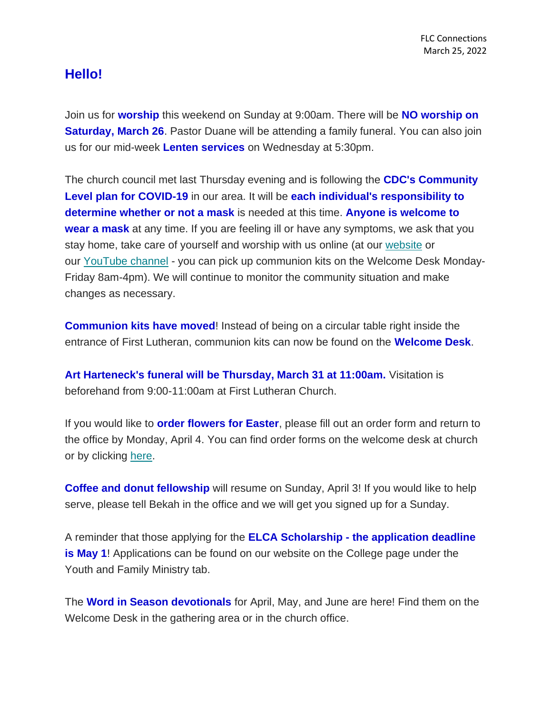## **Hello!**

Join us for **worship** this weekend on Sunday at 9:00am. There will be **NO worship on Saturday, March 26**. Pastor Duane will be attending a family funeral. You can also join us for our mid-week **Lenten services** on Wednesday at 5:30pm.

The church council met last Thursday evening and is following the **CDC's Community Level plan for COVID-19** in our area. It will be **each individual's responsibility to determine whether or not a mask** is needed at this time. **Anyone is welcome to wear a mask** at any time. If you are feeling ill or have any symptoms, we ask that you stay home, take care of yourself and worship with us online (at our [website](https://www.firstlc.org/index.php?) or our [YouTube channel](https://www.youtube.com/channel/UC9XdNg_hQSX1DHMunNI8WQw/featured) - you can pick up communion kits on the Welcome Desk Monday-Friday 8am-4pm). We will continue to monitor the community situation and make changes as necessary.

**Communion kits have moved!** Instead of being on a circular table right inside the entrance of First Lutheran, communion kits can now be found on the **Welcome Desk**.

**Art Harteneck's funeral will be Thursday, March 31 at 11:00am.** Visitation is beforehand from 9:00-11:00am at First Lutheran Church.

If you would like to **order flowers for Easter**, please fill out an order form and return to the office by Monday, April 4. You can find order forms on the welcome desk at church or by clicking [here.](https://mcusercontent.com/77c7c6d2c1cfcdf43b66ccb3d/files/679dc958-6a81-ad8b-dc43-995099c8c27c/Easter_Order_Sheet_2022.pdf)

**Coffee and donut fellowship** will resume on Sunday, April 3! If you would like to help serve, please tell Bekah in the office and we will get you signed up for a Sunday.

A reminder that those applying for the **ELCA Scholarship - the application deadline is May 1**! Applications can be found on our website on the College page under the Youth and Family Ministry tab.

The **Word in Season devotionals** for April, May, and June are here! Find them on the Welcome Desk in the gathering area or in the church office.